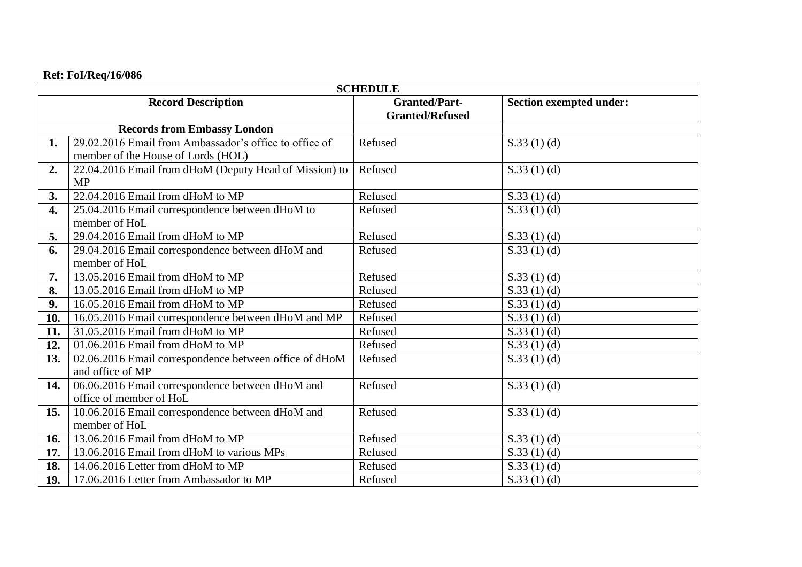## **Ref: FoI/Req/16/086**

| <b>SCHEDULE</b>                    |                                                        |                        |                                |  |
|------------------------------------|--------------------------------------------------------|------------------------|--------------------------------|--|
| <b>Record Description</b>          |                                                        | <b>Granted/Part-</b>   | <b>Section exempted under:</b> |  |
|                                    |                                                        | <b>Granted/Refused</b> |                                |  |
| <b>Records from Embassy London</b> |                                                        |                        |                                |  |
| 1.                                 | 29.02.2016 Email from Ambassador's office to office of | Refused                | S.33(1)(d)                     |  |
|                                    | member of the House of Lords (HOL)                     |                        |                                |  |
| 2.                                 | 22.04.2016 Email from dHoM (Deputy Head of Mission) to | Refused                | S.33(1)(d)                     |  |
|                                    | <b>MP</b>                                              |                        |                                |  |
| 3.                                 | 22.04.2016 Email from dHoM to MP                       | Refused                | S.33(1)(d)                     |  |
| 4.                                 | 25.04.2016 Email correspondence between dHoM to        | Refused                | S.33(1)(d)                     |  |
|                                    | member of HoL                                          |                        |                                |  |
| 5.                                 | 29.04.2016 Email from dHoM to MP                       | Refused                | S.33(1)(d)                     |  |
| 6.                                 | 29.04.2016 Email correspondence between dHoM and       | Refused                | S.33(1)(d)                     |  |
|                                    | member of HoL                                          |                        |                                |  |
| 7.                                 | 13.05.2016 Email from dHoM to MP                       | Refused                | S.33(1)(d)                     |  |
| 8.                                 | 13.05.2016 Email from dHoM to MP                       | Refused                | S.33 $(1)$ $(d)$               |  |
| 9.                                 | 16.05.2016 Email from dHoM to MP                       | Refused                | S.33(1)(d)                     |  |
| 10.                                | 16.05.2016 Email correspondence between dHoM and MP    | Refused                | S.33(1)(d)                     |  |
| 11.                                | 31.05.2016 Email from dHoM to MP                       | Refused                | S.33(1)(d)                     |  |
| 12.                                | 01.06.2016 Email from dHoM to MP                       | Refused                | S.33(1)(d)                     |  |
| 13.                                | 02.06.2016 Email correspondence between office of dHoM | Refused                | S.33(1)(d)                     |  |
|                                    | and office of MP                                       |                        |                                |  |
| 14.                                | 06.06.2016 Email correspondence between dHoM and       | Refused                | S.33(1)(d)                     |  |
|                                    | office of member of HoL                                |                        |                                |  |
| 15.                                | 10.06.2016 Email correspondence between dHoM and       | Refused                | S.33(1)(d)                     |  |
|                                    | member of HoL                                          |                        |                                |  |
| 16.                                | 13.06.2016 Email from dHoM to MP                       | Refused                | S.33(1)(d)                     |  |
| 17.                                | 13.06.2016 Email from dHoM to various MPs              | Refused                | S.33(1)(d)                     |  |
| 18.                                | 14.06.2016 Letter from dHoM to MP                      | Refused                | S.33(1)(d)                     |  |
| 19.                                | 17.06.2016 Letter from Ambassador to MP                | Refused                | S.33(1)(d)                     |  |